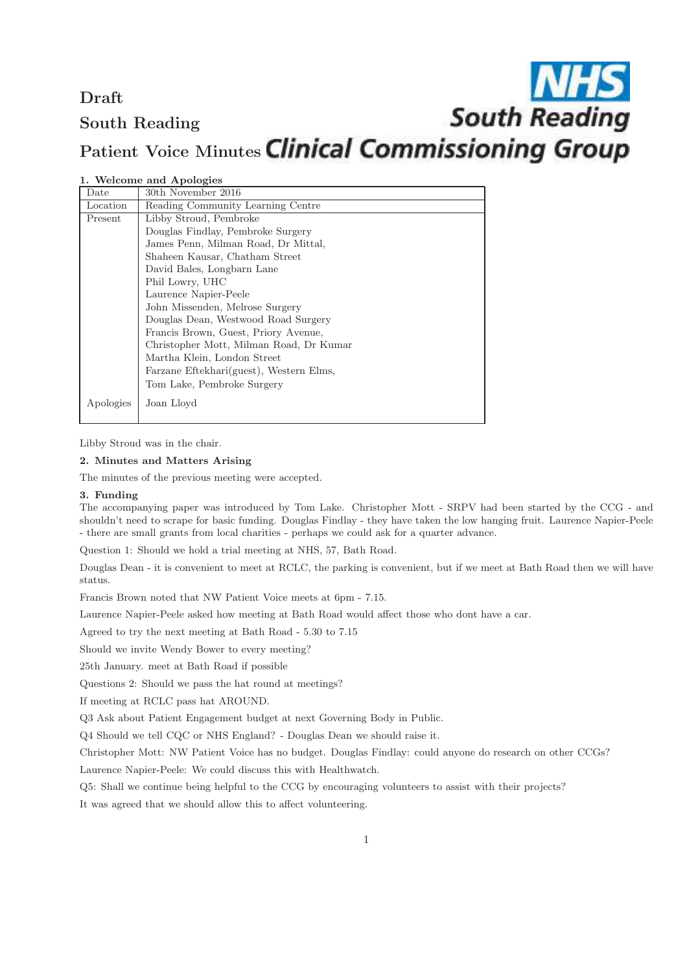## Draft South Reading

# Patient Voice Minutes Clinical Commissioning Group

**South Reading** 

#### 1. Welcome and Apologies

| Date      | 30th November 2016                      |
|-----------|-----------------------------------------|
| Location  | Reading Community Learning Centre       |
| Present   | Libby Stroud, Pembroke                  |
|           | Douglas Findlay, Pembroke Surgery       |
|           | James Penn, Milman Road, Dr Mittal,     |
|           | Shaheen Kausar, Chatham Street          |
|           | David Bales, Longbarn Lane              |
|           | Phil Lowry, UHC                         |
|           | Laurence Napier-Peele                   |
|           | John Missenden, Melrose Surgery         |
|           | Douglas Dean, Westwood Road Surgery     |
|           | Francis Brown, Guest, Priory Avenue,    |
|           | Christopher Mott, Milman Road, Dr Kumar |
|           | Martha Klein, London Street             |
|           | Farzane Eftekhari(guest), Western Elms, |
|           | Tom Lake, Pembroke Surgery              |
| Apologies | Joan Lloyd                              |

Libby Stroud was in the chair.

### 2. Minutes and Matters Arising

The minutes of the previous meeting were accepted.

#### 3. Funding

The accompanying paper was introduced by Tom Lake. Christopher Mott - SRPV had been started by the CCG - and shouldn't need to scrape for basic funding. Douglas Findlay - they have taken the low hanging fruit. Laurence Napier-Peele - there are small grants from local charities - perhaps we could ask for a quarter advance.

Question 1: Should we hold a trial meeting at NHS, 57, Bath Road.

Douglas Dean - it is convenient to meet at RCLC, the parking is convenient, but if we meet at Bath Road then we will have status.

Francis Brown noted that NW Patient Voice meets at 6pm - 7.15.

Laurence Napier-Peele asked how meeting at Bath Road would affect those who dont have a car.

Agreed to try the next meeting at Bath Road - 5.30 to 7.15

Should we invite Wendy Bower to every meeting?

25th January. meet at Bath Road if possible

Questions 2: Should we pass the hat round at meetings?

If meeting at RCLC pass hat AROUND.

Q3 Ask about Patient Engagement budget at next Governing Body in Public.

Q4 Should we tell CQC or NHS England? - Douglas Dean we should raise it.

Christopher Mott: NW Patient Voice has no budget. Douglas Findlay: could anyone do research on other CCGs?

Laurence Napier-Peele: We could discuss this with Healthwatch.

Q5: Shall we continue being helpful to the CCG by encouraging volunteers to assist with their projects?

It was agreed that we should allow this to affect volunteering.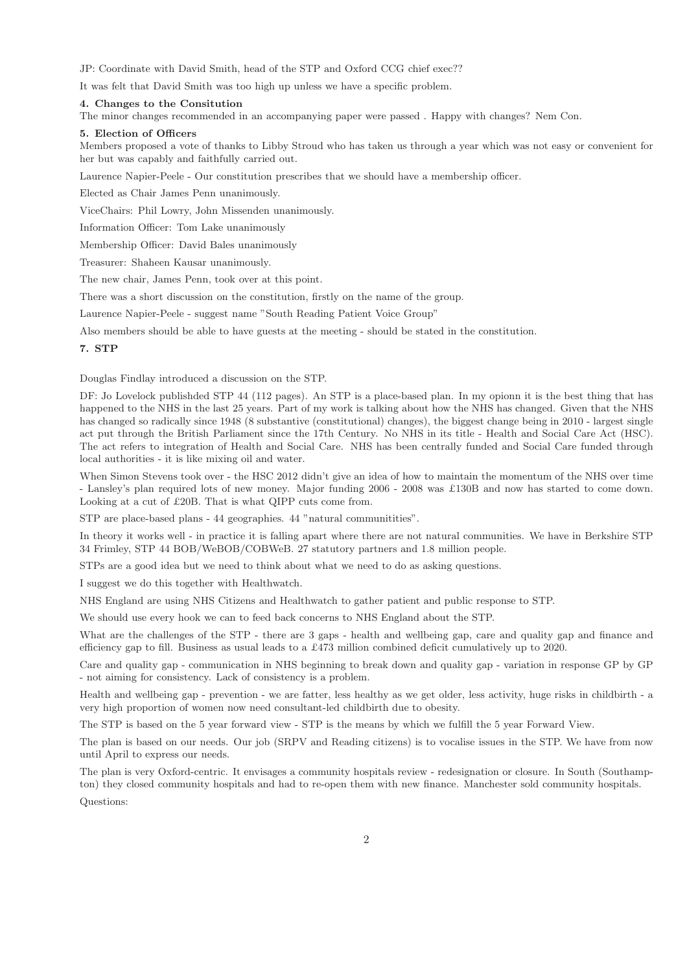JP: Coordinate with David Smith, head of the STP and Oxford CCG chief exec??

It was felt that David Smith was too high up unless we have a specific problem.

#### 4. Changes to the Consitution

The minor changes recommended in an accompanying paper were passed . Happy with changes? Nem Con.

#### 5. Election of Officers

Members proposed a vote of thanks to Libby Stroud who has taken us through a year which was not easy or convenient for her but was capably and faithfully carried out.

Laurence Napier-Peele - Our constitution prescribes that we should have a membership officer.

Elected as Chair James Penn unanimously.

ViceChairs: Phil Lowry, John Missenden unanimously.

Information Officer: Tom Lake unanimously

Membership Officer: David Bales unanimously

Treasurer: Shaheen Kausar unanimously.

The new chair, James Penn, took over at this point.

There was a short discussion on the constitution, firstly on the name of the group.

Laurence Napier-Peele - suggest name "South Reading Patient Voice Group"

Also members should be able to have guests at the meeting - should be stated in the constitution.

#### 7. STP

Douglas Findlay introduced a discussion on the STP.

DF: Jo Lovelock publishded STP 44 (112 pages). An STP is a place-based plan. In my opionn it is the best thing that has happened to the NHS in the last 25 years. Part of my work is talking about how the NHS has changed. Given that the NHS has changed so radically since 1948 (8 substantive (constitutional) changes), the biggest change being in 2010 - largest single act put through the British Parliament since the 17th Century. No NHS in its title - Health and Social Care Act (HSC). The act refers to integration of Health and Social Care. NHS has been centrally funded and Social Care funded through local authorities - it is like mixing oil and water.

When Simon Stevens took over - the HSC 2012 didn't give an idea of how to maintain the momentum of the NHS over time - Lansley's plan required lots of new money. Major funding 2006 - 2008 was £130B and now has started to come down. Looking at a cut of £20B. That is what QIPP cuts come from.

STP are place-based plans - 44 geographies. 44 "natural communitities".

In theory it works well - in practice it is falling apart where there are not natural communities. We have in Berkshire STP 34 Frimley, STP 44 BOB/WeBOB/COBWeB. 27 statutory partners and 1.8 million people.

STPs are a good idea but we need to think about what we need to do as asking questions.

I suggest we do this together with Healthwatch.

NHS England are using NHS Citizens and Healthwatch to gather patient and public response to STP.

We should use every hook we can to feed back concerns to NHS England about the STP.

What are the challenges of the STP - there are 3 gaps - health and wellbeing gap, care and quality gap and finance and efficiency gap to fill. Business as usual leads to a £473 million combined deficit cumulatively up to 2020.

Care and quality gap - communication in NHS beginning to break down and quality gap - variation in response GP by GP - not aiming for consistency. Lack of consistency is a problem.

Health and wellbeing gap - prevention - we are fatter, less healthy as we get older, less activity, huge risks in childbirth - a very high proportion of women now need consultant-led childbirth due to obesity.

The STP is based on the 5 year forward view - STP is the means by which we fulfill the 5 year Forward View.

The plan is based on our needs. Our job (SRPV and Reading citizens) is to vocalise issues in the STP. We have from now until April to express our needs.

The plan is very Oxford-centric. It envisages a community hospitals review - redesignation or closure. In South (Southampton) they closed community hospitals and had to re-open them with new finance. Manchester sold community hospitals.

Questions: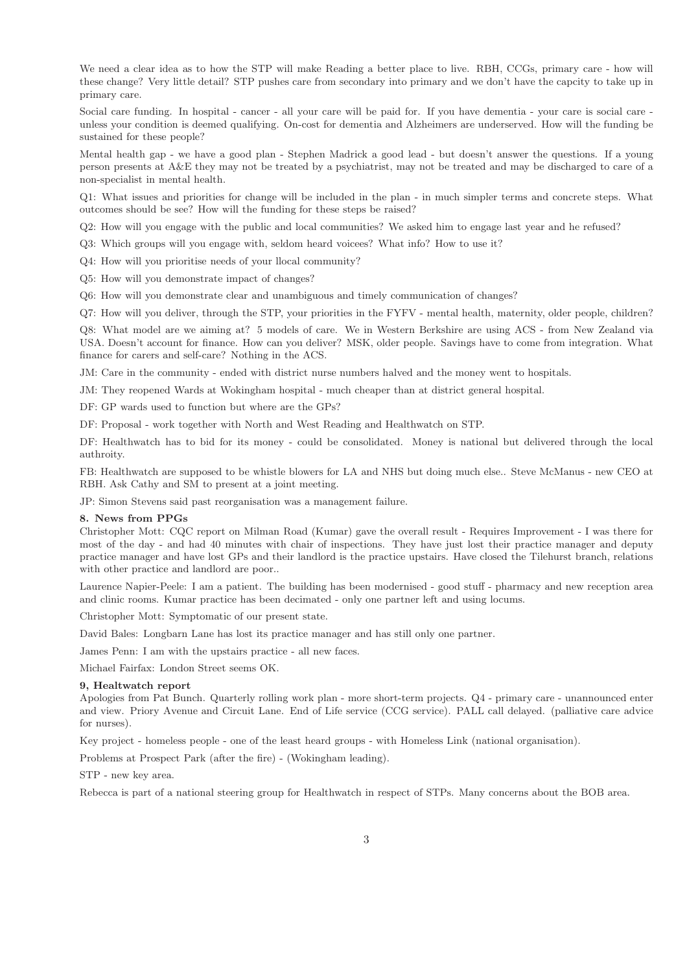We need a clear idea as to how the STP will make Reading a better place to live. RBH, CCGs, primary care - how will these change? Very little detail? STP pushes care from secondary into primary and we don't have the capcity to take up in primary care.

Social care funding. In hospital - cancer - all your care will be paid for. If you have dementia - your care is social care unless your condition is deemed qualifying. On-cost for dementia and Alzheimers are underserved. How will the funding be sustained for these people?

Mental health gap - we have a good plan - Stephen Madrick a good lead - but doesn't answer the questions. If a young person presents at A&E they may not be treated by a psychiatrist, may not be treated and may be discharged to care of a non-specialist in mental health.

Q1: What issues and priorities for change will be included in the plan - in much simpler terms and concrete steps. What outcomes should be see? How will the funding for these steps be raised?

Q2: How will you engage with the public and local communities? We asked him to engage last year and he refused?

Q3: Which groups will you engage with, seldom heard voicees? What info? How to use it?

Q4: How will you prioritise needs of your llocal community?

Q5: How will you demonstrate impact of changes?

Q6: How will you demonstrate clear and unambiguous and timely communication of changes?

Q7: How will you deliver, through the STP, your priorities in the FYFV - mental health, maternity, older people, children?

Q8: What model are we aiming at? 5 models of care. We in Western Berkshire are using ACS - from New Zealand via USA. Doesn't account for finance. How can you deliver? MSK, older people. Savings have to come from integration. What finance for carers and self-care? Nothing in the ACS.

JM: Care in the community - ended with district nurse numbers halved and the money went to hospitals.

JM: They reopened Wards at Wokingham hospital - much cheaper than at district general hospital.

DF: GP wards used to function but where are the GPs?

DF: Proposal - work together with North and West Reading and Healthwatch on STP.

DF: Healthwatch has to bid for its money - could be consolidated. Money is national but delivered through the local authroity.

FB: Healthwatch are supposed to be whistle blowers for LA and NHS but doing much else.. Steve McManus - new CEO at RBH. Ask Cathy and SM to present at a joint meeting.

JP: Simon Stevens said past reorganisation was a management failure.

#### 8. News from PPGs

Christopher Mott: CQC report on Milman Road (Kumar) gave the overall result - Requires Improvement - I was there for most of the day - and had 40 minutes with chair of inspections. They have just lost their practice manager and deputy practice manager and have lost GPs and their landlord is the practice upstairs. Have closed the Tilehurst branch, relations with other practice and landlord are poor..

Laurence Napier-Peele: I am a patient. The building has been modernised - good stuff - pharmacy and new reception area and clinic rooms. Kumar practice has been decimated - only one partner left and using locums.

Christopher Mott: Symptomatic of our present state.

David Bales: Longbarn Lane has lost its practice manager and has still only one partner.

James Penn: I am with the upstairs practice - all new faces.

Michael Fairfax: London Street seems OK.

#### 9, Healtwatch report

Apologies from Pat Bunch. Quarterly rolling work plan - more short-term projects. Q4 - primary care - unannounced enter and view. Priory Avenue and Circuit Lane. End of Life service (CCG service). PALL call delayed. (palliative care advice for nurses).

Key project - homeless people - one of the least heard groups - with Homeless Link (national organisation).

Problems at Prospect Park (after the fire) - (Wokingham leading).

STP - new key area.

Rebecca is part of a national steering group for Healthwatch in respect of STPs. Many concerns about the BOB area.